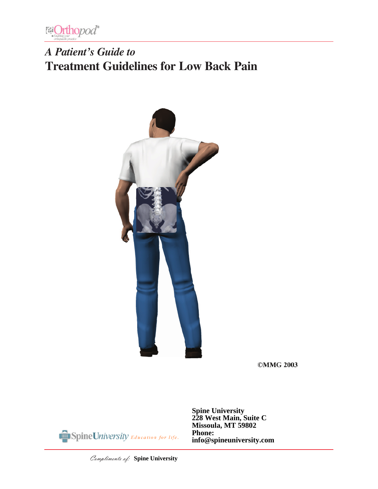

# *A Patient's Guide to* **Treatment Guidelines for Low Back Pain**



**©MMG 2003** 



**Spine University 228 West Main, Suite C Missoula, MT 59802 Phone: info@spineuniversity.com**

Compliments of: **Spine University**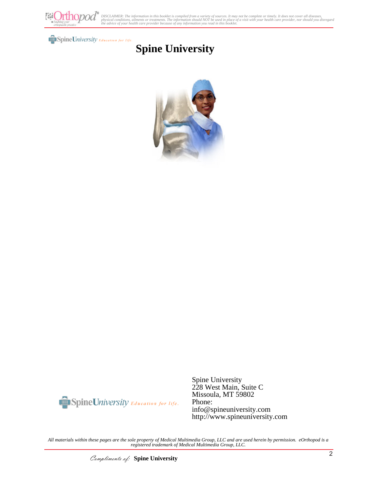

#### Spine University Education for life.

## **Spine University**





Spine University 228 West Main, Suite C Missoula, MT 59802 Phone: info@spineuniversity.com http://www.spineuniversity.com

*All materials within these pages are the sole property of Medical Multimedia Group, LLC and are used herein by permission. eOrthopod is a registered trademark of Medical Multimedia Group, LLC.*

Compliments of: **Spine University**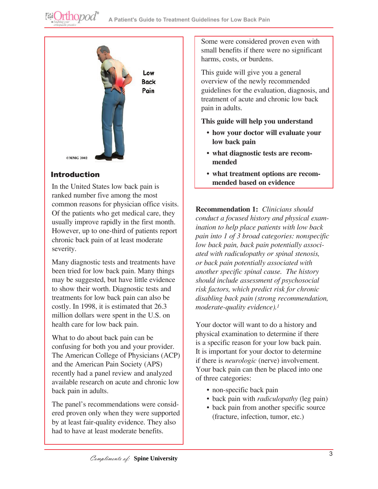

## Introduction

**@Orthopod®** 

In the United States low back pain is ranked number five among the most common reasons for physician office visits. Of the patients who get medical care, they usually improve rapidly in the first month. However, up to one-third of patients report chronic back pain of at least moderate severity.

Many diagnostic tests and treatments have been tried for low back pain. Many things may be suggested, but have little evidence to show their worth. Diagnostic tests and treatments for low back pain can also be costly. In 1998, it is estimated that 26.3 million dollars were spent in the U.S. on health care for low back pain.

What to do about back pain can be confusing for both you and your provider. The American College of Physicians (ACP) and the American Pain Society (APS) recently had a panel review and analyzed available research on acute and chronic low back pain in adults.

The panel's recommendations were considered proven only when they were supported by at least fair-quality evidence. They also had to have at least moderate benefits.

Some were considered proven even with small benefits if there were no significant harms, costs, or burdens.

This guide will give you a general overview of the newly recommended guidelines for the evaluation, diagnosis, and treatment of acute and chronic low back pain in adults.

### **This guide will help you understand**

- **• how your doctor will evaluate your low back pain**
- **• what diagnostic tests are recommended**
- **• what treatment options are recommended based on evidence**

**Recommendation 1:** *Clinicians should conduct a focused history and physical examination to help place patients with low back pain into 1 of 3 broad categories: nonspecific low back pain, back pain potentially associated with radiculopathy or spinal stenosis, or back pain potentially associated with another specific spinal cause. The history should include assessment of psychosocial risk factors, which predict risk for chronic disabling back pain (strong recommendation, moderate-quality evidence).1*

Your doctor will want to do a history and physical examination to determine if there is a specific reason for your low back pain. It is important for your doctor to determine if there is *neurologic* (nerve) involvement. Your back pain can then be placed into one of three categories:

- non-specific back pain
- back pain with *radiculopathy* (leg pain)
- back pain from another specific source (fracture, infection, tumor, etc.)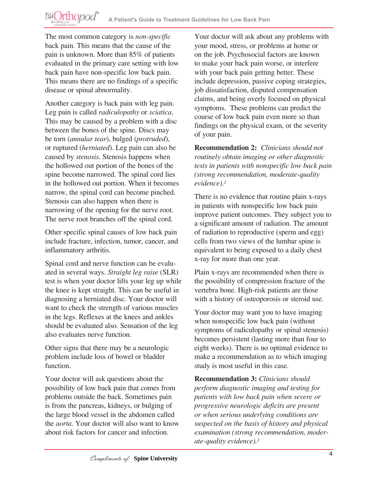The most common category is *non-specific* back pain. This means that the cause of the pain is unknown. More than 85% of patients evaluated in the primary care setting with low back pain have non-specific low back pain. This means there are no findings of a specific disease or spinal abnormality.

Another category is back pain with leg pain. Leg pain is called *radiculopathy* or *sciatica*. This may be caused by a problem with a disc between the bones of the spine. Discs may be torn (*annular tear*), bulged (*protruded*), or ruptured (*herniated*). Leg pain can also be caused by *stenosis*. Stenosis happens when the hollowed out portion of the bones of the spine become narrowed. The spinal cord lies in the hollowed out portion. When it becomes narrow, the spinal cord can become pinched. Stenosis can also happen when there is narrowing of the opening for the nerve root. The nerve root branches off the spinal cord.

Other specific spinal causes of low back pain include fracture, infection, tumor, cancer, and inflammatory arthritis.

Spinal cord and nerve function can be evaluated in several ways. *Straight leg raise* (SLR) test is when your doctor lifts your leg up while the knee is kept straight. This can be useful in diagnosing a herniated disc. Your doctor will want to check the strength of various muscles in the legs. Reflexes at the knees and ankles should be evaluated also. Sensation of the leg also evaluates nerve function.

Other signs that there may be a neurologic problem include loss of bowel or bladder function.

Your doctor will ask questions about the possibility of low back pain that comes from problems outside the back. Sometimes pain is from the pancreas, kidneys, or bulging of the large blood vessel in the abdomen called the *aorta*. Your doctor will also want to know about risk factors for cancer and infection.

Your doctor will ask about any problems with your mood, stress, or problems at home or on the job. Psychosocial factors are known to make your back pain worse, or interfere with your back pain getting better. These include depression, passive coping strategies, job dissatisfaction, disputed compensation claims, and being overly focused on physical symptoms. These problems can predict the course of low back pain even more so than findings on the physical exam, or the severity of your pain.

**Recommendation 2:** *Clinicians should not routinely obtain imaging or other diagnostic tests in patients with nonspecific low back pain (strong recommendation, moderate-quality evidence).1*

There is no evidence that routine plain x-rays in patients with nonspecific low back pain improve patient outcomes. They subject you to a significant amount of radiation. The amount of radiation to reproductive (sperm and egg) cells from two views of the lumbar spine is equivalent to being exposed to a daily chest x-ray for more than one year.

Plain x-rays are recommended when there is the possibility of compression fracture of the vertebra bone. High-risk patients are those with a history of osteoporosis or steroid use.

Your doctor may want you to have imaging when nonspecific low back pain (without symptoms of radiculopathy or spinal stenosis) becomes persistent (lasting more than four to eight weeks). There is no optimal evidence to make a recommendation as to which imaging study is most useful in this case.

**Recommendation 3:** *Clinicians should perform diagnostic imaging and testing for patients with low back pain when severe or progressive neurologic deficits are present or when serious underlying conditions are suspected on the basis of history and physical examination (strong recommendation, moderate-quality evidence).1*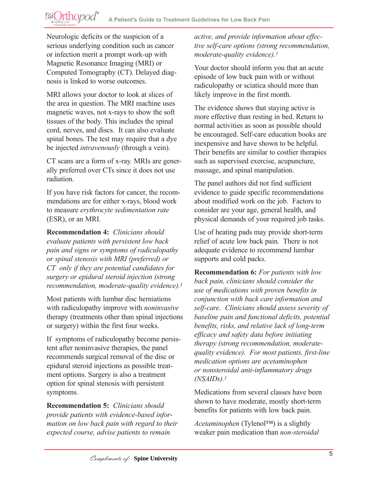Neurologic deficits or the suspicion of a serious underlying condition such as cancer or infection merit a prompt work-up with Magnetic Resonance Imaging (MRI) or Computed Tomography (CT). Delayed diagnosis is linked to worse outcomes.

MRI allows your doctor to look at slices of the area in question. The MRI machine uses magnetic waves, not x-rays to show the soft tissues of the body. This includes the spinal cord, nerves, and discs. It can also evaluate spinal bones. The test may require that a dye be injected *intravenously* (through a vein).

CT scans are a form of x-ray. MRIs are generally preferred over CTs since it does not use radiation.

If you have risk factors for cancer, the recommendations are for either x-rays, blood work to measure *erythrocyte sedimentation rate* (ESR), or an MRI.

**Recommendation 4:** *Clinicians should evaluate patients with persistent low back pain and signs or symptoms of radiculopathy or spinal stenosis with MRI (preferred) or CT only if they are potential candidates for surgery or epidural steroid injection (strong recommendation, moderate-quality evidence).1*

Most patients with lumbar disc herniations with radiculopathy improve with *noninvasive* therapy (treatments other than spinal injections or surgery) within the first four weeks.

If symptoms of radiculopathy become persistent after noninvasive therapies, the panel recommends surgical removal of the disc or epidural steroid injections as possible treatment options. Surgery is also a treatment option for spinal stenosis with persistent symptoms.

**Recommendation 5:** *Clinicians should provide patients with evidence-based information on low back pain with regard to their expected course, advise patients to remain* 

*active, and provide information about effective self-care options (strong recommendation, moderate-quality evidence).1*

Your doctor should inform you that an acute episode of low back pain with or without radiculopathy or sciatica should more than likely improve in the first month.

The evidence shows that staying active is more effective than resting in bed. Return to normal activities as soon as possible should be encouraged. Self-care education books are inexpensive and have shown to be helpful. Their benefits are similar to costlier therapies such as supervised exercise, acupuncture, massage, and spinal manipulation.

The panel authors did not find sufficient evidence to guide specific recommendations about modified work on the job. Factors to consider are your age, general health, and physical demands of your required job tasks.

Use of heating pads may provide short-term relief of acute low back pain. There is not adequate evidence to recommend lumbar supports and cold packs.

**Recommendation 6:** *For patients with low back pain, clinicians should consider the use of medications with proven benefits in conjunction with back care information and self-care. Clinicians should assess severity of baseline pain and functional deficits, potential benefits, risks, and relative lack of long-term efficacy and safety data before initiating therapy (strong recommendation, moderatequality evidence). For most patients, first-line medication options are acetaminophen or nonsteroidal anti-inflammatory drugs (NSAIDs).1*

Medications from several classes have been shown to have moderate, mostly short-term benefits for patients with low back pain.

*Acetaminophen* (Tylenol™) is a slightly weaker pain medication than *non-steroidal*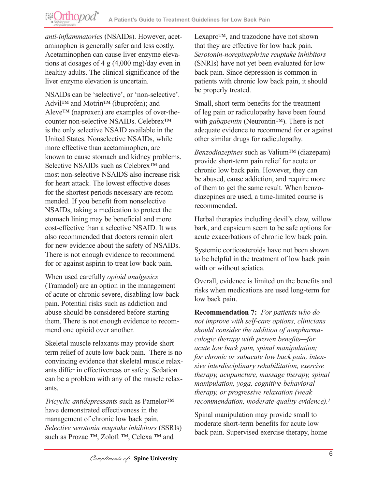*anti-inflammatories* (NSAIDs). However, acetaminophen is generally safer and less costly. Acetaminophen can cause liver enzyme elevations at dosages of 4 g (4,000 mg)/day even in healthy adults. The clinical significance of the liver enzyme elevation is uncertain.

NSAIDs can be 'selective', or 'non-selective'. Advil™ and Motrin<sup>™</sup> (ibuprofen); and Aleve™ (naproxen) are examples of over-thecounter non-selective NSAIDs. Celebrex™ is the only selective NSAID available in the United States. Nonselective NSAIDs, while more effective than acetaminophen, are known to cause stomach and kidney problems. Selective NSAIDs such as Celebrex<sup>™</sup> and most non-selective NSAIDS also increase risk for heart attack. The lowest effective doses for the shortest periods necessary are recommended. If you benefit from nonselective NSAIDs, taking a medication to protect the stomach lining may be beneficial and more cost-effective than a selective NSAID. It was also recommended that doctors remain alert for new evidence about the safety of NSAIDs. There is not enough evidence to recommend for or against aspirin to treat low back pain.

When used carefully *opioid analgesics* (Tramadol) are an option in the management of acute or chronic severe, disabling low back pain. Potential risks such as addiction and abuse should be considered before starting them. There is not enough evidence to recommend one opioid over another.

Skeletal muscle relaxants may provide short term relief of acute low back pain. There is no convincing evidence that skeletal muscle relaxants differ in effectiveness or safety. Sedation can be a problem with any of the muscle relaxants.

*Tricyclic antidepressants* such as Pamelor™ have demonstrated effectiveness in the management of chronic low back pain. *Selective serotonin reuptake inhibitors* (SSRIs) such as Prozac ™, Zoloft ™, Celexa ™ and

Lexapro™, and trazodone have not shown that they are effective for low back pain. *Serotonin-norepinephrine reuptake inhibitors* (SNRIs) have not yet been evaluated for low back pain. Since depression is common in patients with chronic low back pain, it should be properly treated.

Small, short-term benefits for the treatment of leg pain or radiculopathy have been found with *gabapentin* (Neurontin™). There is not adequate evidence to recommend for or against other similar drugs for radiculopathy.

*Benzodiazepines* such as Valium™ (diazepam) provide short-term pain relief for acute or chronic low back pain. However, they can be abused, cause addiction, and require more of them to get the same result. When benzodiazepines are used, a time-limited course is recommended.

Herbal therapies including devil's claw, willow bark, and capsicum seem to be safe options for acute exacerbations of chronic low back pain.

Systemic corticosteroids have not been shown to be helpful in the treatment of low back pain with or without sciatica.

Overall, evidence is limited on the benefits and risks when medications are used long-term for low back pain.

**Recommendation 7:** *For patients who do not improve with self-care options, clinicians should consider the addition of nonpharmacologic therapy with proven benefits—for acute low back pain, spinal manipulation; for chronic or subacute low back pain, intensive interdisciplinary rehabilitation, exercise therapy, acupuncture, massage therapy, spinal manipulation, yoga, cognitive-behavioral therapy, or progressive relaxation (weak recommendation, moderate-quality evidence).1*

Spinal manipulation may provide small to moderate short-term benefits for acute low back pain. Supervised exercise therapy, home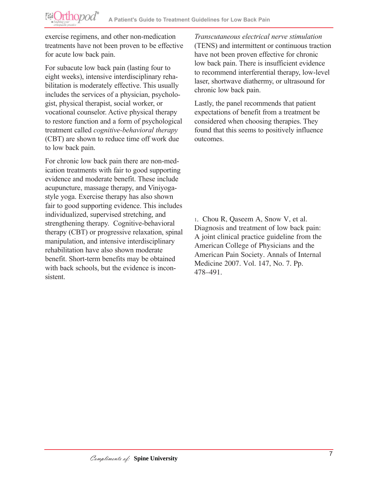exercise regimens, and other non-medication treatments have not been proven to be effective for acute low back pain.

For subacute low back pain (lasting four to eight weeks), intensive interdisciplinary rehabilitation is moderately effective. This usually includes the services of a physician, psychologist, physical therapist, social worker, or vocational counselor. Active physical therapy to restore function and a form of psychological treatment called *cognitive-behavioral therapy* (CBT) are shown to reduce time off work due to low back pain.

For chronic low back pain there are non-medication treatments with fair to good supporting evidence and moderate benefit. These include acupuncture, massage therapy, and Viniyogastyle yoga. Exercise therapy has also shown fair to good supporting evidence. This includes individualized, supervised stretching, and strengthening therapy. Cognitive-behavioral therapy (CBT) or progressive relaxation, spinal manipulation, and intensive interdisciplinary rehabilitation have also shown moderate benefit. Short-term benefits may be obtained with back schools, but the evidence is inconsistent.

*Transcutaneous electrical nerve stimulation* (TENS) and intermittent or continuous traction have not been proven effective for chronic low back pain. There is insufficient evidence to recommend interferential therapy, low-level laser, shortwave diathermy, or ultrasound for chronic low back pain.

Lastly, the panel recommends that patient expectations of benefit from a treatment be considered when choosing therapies. They found that this seems to positively influence outcomes.

1. Chou R, Qaseem A, Snow V, et al. Diagnosis and treatment of low back pain: A joint clinical practice guideline from the American College of Physicians and the American Pain Society. Annals of Internal Medicine 2007. Vol. 147, No. 7. Pp. 478–491.